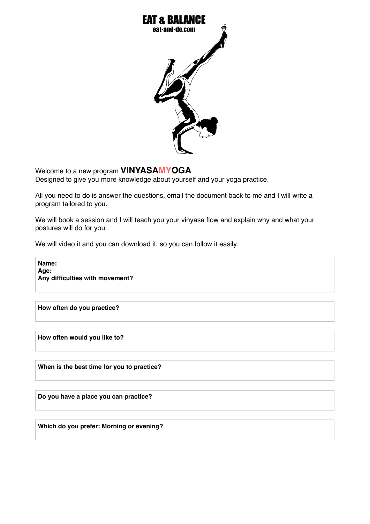

Welcome to a new program **VINYASAMYOGA**

Designed to give you more knowledge about yourself and your yoga practice.

All you need to do is answer the questions, email the document back to me and I will write a program tailored to you.

We will book a session and I will teach you your vinyasa flow and explain why and what your postures will do for you.

We will video it and you can download it, so you can follow it easily.

**Name: Age: Any difficulties with movement?**

**How often do you practice?**

**How often would you like to?**

**When is the best time for you to practice?**

**Do you have a place you can practice?**

**Which do you prefer: Morning or evening?**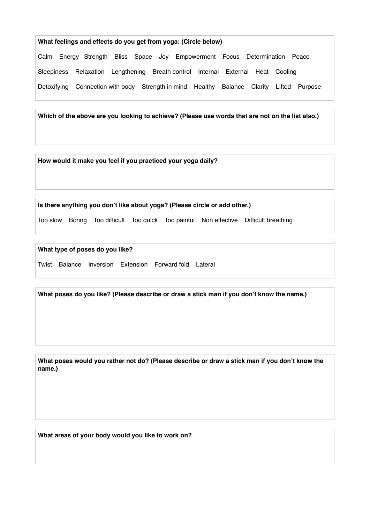## **What feelings and effects do you get from yoga: (Circle below)** Calm Energy Strength Bliss Space Joy Empowerment Focus Determination Peace Sleepiness Relaxation Lengthening Breath control Internal External Heat Cooling Detoxifying Connection with body Strength in mind Healthy Balance Clarity Lifted Purpose

**Which of the above are you looking to achieve? (Please use words that are not on the list also.)**

**How would it make you feel if you practiced your yoga daily?**

**Is there anything you don't like about yoga? (Please circle or add other.)**

Too slow Boring Too difficult Too quick Too painful Non effective Difficult breathing

**What type of poses do you like?**

Twist Balance Inversion Extension Forward fold Lateral

**What poses do you like? (Please describe or draw a stick man if you don't know the name.)**

**What poses would you rather not do? (Please describe or draw a stick man if you don't know the name.)**

**What areas of your body would you like to work on?**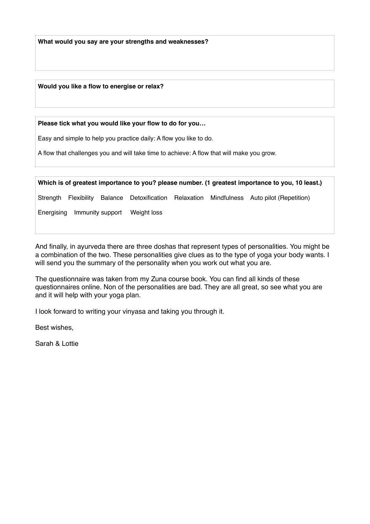**What would you say are your strengths and weaknesses?**

**Would you like a flow to energise or relax?**

**Please tick what you would like your flow to do for you…**

Easy and simple to help you practice daily: A flow you like to do.

A flow that challenges you and will take time to achieve: A flow that will make you grow.

Strength Flexibility Balance Detoxification Relaxation Mindfulness Auto pilot (Repetition)

Energising Immunity support Weight loss

And finally, in ayurveda there are three doshas that represent types of personalities. You might be a combination of the two. These personalities give clues as to the type of yoga your body wants. I will send you the summary of the personality when you work out what you are.

The questionnaire was taken from my Zuna course book. You can find all kinds of these questionnaires online. Non of the personalities are bad. They are all great, so see what you are and it will help with your yoga plan.

I look forward to writing your vinyasa and taking you through it.

Best wishes,

Sarah & Lottie